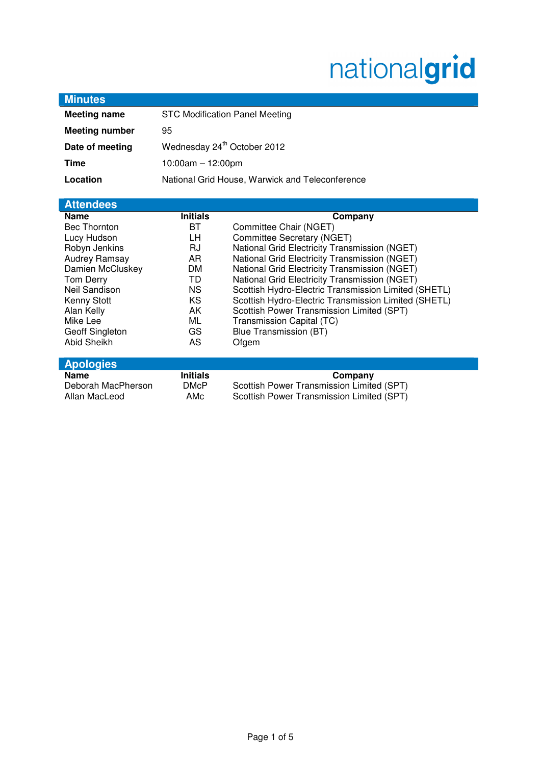# nationalgrid

| <b>Minutes</b>        |                                                 |                                                      |
|-----------------------|-------------------------------------------------|------------------------------------------------------|
| <b>Meeting name</b>   | <b>STC Modification Panel Meeting</b>           |                                                      |
| <b>Meeting number</b> | 95                                              |                                                      |
| Date of meeting       | Wednesday 24 <sup>th</sup> October 2012         |                                                      |
| <b>Time</b>           | $10:00am - 12:00pm$                             |                                                      |
| Location              | National Grid House, Warwick and Teleconference |                                                      |
|                       |                                                 |                                                      |
| <b>Attendees</b>      |                                                 |                                                      |
| <b>Name</b>           | <b>Initials</b>                                 | Company                                              |
| <b>Bec Thornton</b>   | ВT                                              | Committee Chair (NGET)                               |
| Lucy Hudson           | LН                                              | Committee Secretary (NGET)                           |
| Robyn Jenkins         | RJ                                              | National Grid Electricity Transmission (NGET)        |
| Audrey Ramsay         | AR                                              | National Grid Electricity Transmission (NGET)        |
| Damien McCluskey      | DM                                              | National Grid Electricity Transmission (NGET)        |
| Tom Derry             | TD                                              | National Grid Electricity Transmission (NGET)        |
| Neil Sandison         | <b>NS</b>                                       | Scottish Hydro-Electric Transmission Limited (SHETL) |
| Kenny Stott           | <b>KS</b>                                       | Scottish Hydro-Electric Transmission Limited (SHETL) |
| Alan Kelly            | AK                                              | Scottish Power Transmission Limited (SPT)            |
| Mike Lee              | ML                                              | Transmission Capital (TC)                            |
| Geoff Singleton       | GS                                              | <b>Blue Transmission (BT)</b>                        |
| Abid Sheikh           | AS                                              | Ofgem                                                |
| <b>Apologies</b>      |                                                 |                                                      |
| <b>Name</b>           | <b>Initials</b>                                 | Company                                              |
| Deborah MacPherson    | <b>DMcP</b>                                     | Scottish Power Transmission Limited (SPT)            |
| Allan MacLeod         | AMc                                             | Scottish Power Transmission Limited (SPT)            |
|                       |                                                 |                                                      |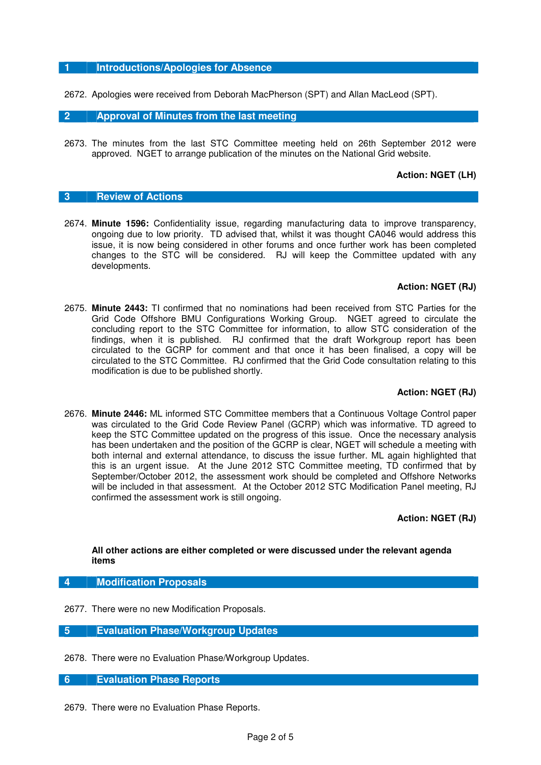## **1 Introductions/Apologies for Absence**

2672. Apologies were received from Deborah MacPherson (SPT) and Allan MacLeod (SPT).

#### **2 Approval of Minutes from the last meeting**

2673. The minutes from the last STC Committee meeting held on 26th September 2012 were approved. NGET to arrange publication of the minutes on the National Grid website.

#### **Action: NGET (LH)**

#### **3 Review of Actions**

2674. **Minute 1596:** Confidentiality issue, regarding manufacturing data to improve transparency, ongoing due to low priority. TD advised that, whilst it was thought CA046 would address this issue, it is now being considered in other forums and once further work has been completed changes to the STC will be considered. RJ will keep the Committee updated with any developments.

#### **Action: NGET (RJ)**

2675. **Minute 2443:** TI confirmed that no nominations had been received from STC Parties for the Grid Code Offshore BMU Configurations Working Group. NGET agreed to circulate the concluding report to the STC Committee for information, to allow STC consideration of the findings, when it is published. RJ confirmed that the draft Workgroup report has been circulated to the GCRP for comment and that once it has been finalised, a copy will be circulated to the STC Committee. RJ confirmed that the Grid Code consultation relating to this modification is due to be published shortly.

## **Action: NGET (RJ)**

2676. **Minute 2446:** ML informed STC Committee members that a Continuous Voltage Control paper was circulated to the Grid Code Review Panel (GCRP) which was informative. TD agreed to keep the STC Committee updated on the progress of this issue. Once the necessary analysis has been undertaken and the position of the GCRP is clear, NGET will schedule a meeting with both internal and external attendance, to discuss the issue further. ML again highlighted that this is an urgent issue. At the June 2012 STC Committee meeting, TD confirmed that by September/October 2012, the assessment work should be completed and Offshore Networks will be included in that assessment. At the October 2012 STC Modification Panel meeting, RJ confirmed the assessment work is still ongoing.

**Action: NGET (RJ)** 

#### **All other actions are either completed or were discussed under the relevant agenda items**

#### **4 Modification Proposals**

- 2677. There were no new Modification Proposals.
- **5 Evaluation Phase/Workgroup Updates**
- 2678. There were no Evaluation Phase/Workgroup Updates.

### **6 Evaluation Phase Reports**

2679. There were no Evaluation Phase Reports.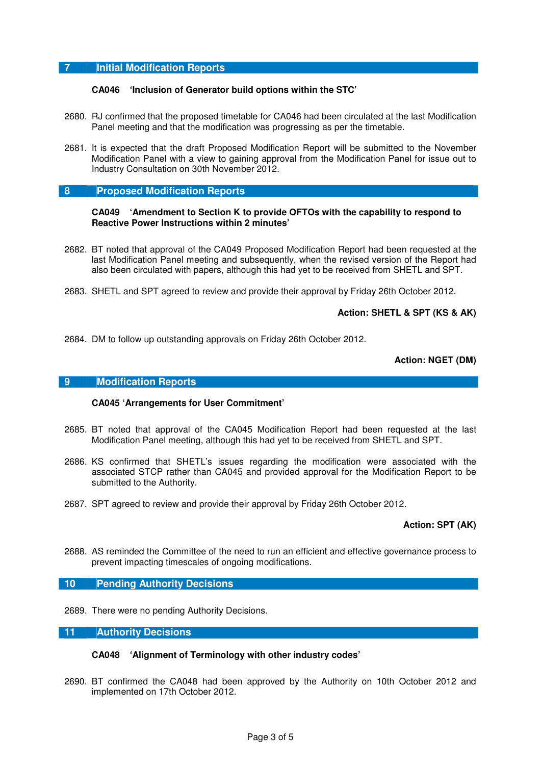## **7 Initial Modification Reports**

#### **CA046 'Inclusion of Generator build options within the STC'**

- 2680. RJ confirmed that the proposed timetable for CA046 had been circulated at the last Modification Panel meeting and that the modification was progressing as per the timetable.
- 2681. It is expected that the draft Proposed Modification Report will be submitted to the November Modification Panel with a view to gaining approval from the Modification Panel for issue out to Industry Consultation on 30th November 2012.

#### **8 Proposed Modification Reports**

#### **CA049 'Amendment to Section K to provide OFTOs with the capability to respond to Reactive Power Instructions within 2 minutes'**

- 2682. BT noted that approval of the CA049 Proposed Modification Report had been requested at the last Modification Panel meeting and subsequently, when the revised version of the Report had also been circulated with papers, although this had yet to be received from SHETL and SPT.
- 2683. SHETL and SPT agreed to review and provide their approval by Friday 26th October 2012.

**Action: SHETL & SPT (KS & AK)** 

2684. DM to follow up outstanding approvals on Friday 26th October 2012.

**Action: NGET (DM)** 

#### **9 Modification Reports**

## **CA045 'Arrangements for User Commitment'**

- 2685. BT noted that approval of the CA045 Modification Report had been requested at the last Modification Panel meeting, although this had yet to be received from SHETL and SPT.
- 2686. KS confirmed that SHETL's issues regarding the modification were associated with the associated STCP rather than CA045 and provided approval for the Modification Report to be submitted to the Authority.
- 2687. SPT agreed to review and provide their approval by Friday 26th October 2012.

## **Action: SPT (AK)**

2688. AS reminded the Committee of the need to run an efficient and effective governance process to prevent impacting timescales of ongoing modifications.

## **10 Pending Authority Decisions**

2689. There were no pending Authority Decisions.

#### **11 Authority Decisions**

#### **CA048 'Alignment of Terminology with other industry codes'**

2690. BT confirmed the CA048 had been approved by the Authority on 10th October 2012 and implemented on 17th October 2012.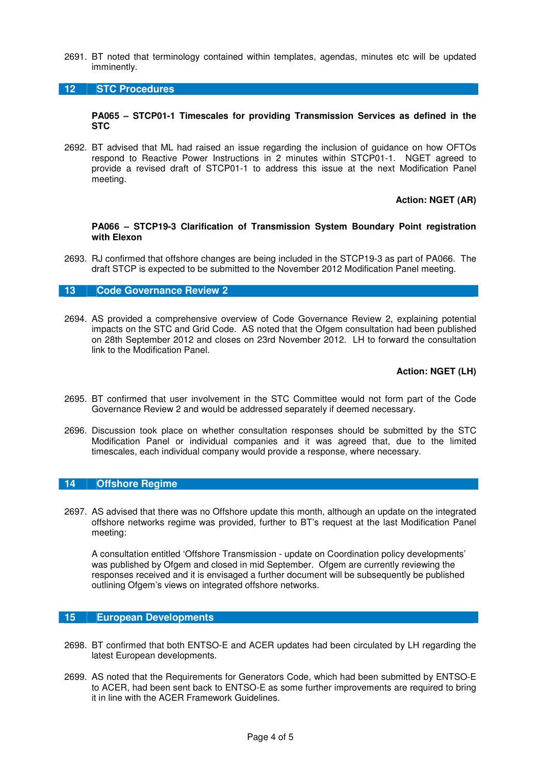2691. BT noted that terminology contained within templates, agendas, minutes etc will be updated imminently.

#### **12 STC Procedures**

#### **PA065 – STCP01-1 Timescales for providing Transmission Services as defined in the STC**

2692. BT advised that ML had raised an issue regarding the inclusion of guidance on how OFTOs respond to Reactive Power Instructions in 2 minutes within STCP01-1. NGET agreed to provide a revised draft of STCP01-1 to address this issue at the next Modification Panel meeting.

## **Action: NGET (AR)**

#### **PA066 – STCP19-3 Clarification of Transmission System Boundary Point registration with Elexon**

2693. RJ confirmed that offshore changes are being included in the STCP19-3 as part of PA066. The draft STCP is expected to be submitted to the November 2012 Modification Panel meeting.

#### **13 Code Governance Review 2**

2694. AS provided a comprehensive overview of Code Governance Review 2, explaining potential impacts on the STC and Grid Code. AS noted that the Ofgem consultation had been published on 28th September 2012 and closes on 23rd November 2012. LH to forward the consultation link to the Modification Panel.

## **Action: NGET (LH)**

- 2695. BT confirmed that user involvement in the STC Committee would not form part of the Code Governance Review 2 and would be addressed separately if deemed necessary.
- 2696. Discussion took place on whether consultation responses should be submitted by the STC Modification Panel or individual companies and it was agreed that, due to the limited timescales, each individual company would provide a response, where necessary.

#### **14 Offshore Regime**

2697. AS advised that there was no Offshore update this month, although an update on the integrated offshore networks regime was provided, further to BT's request at the last Modification Panel meeting:

A consultation entitled 'Offshore Transmission - update on Coordination policy developments' was published by Ofgem and closed in mid September. Ofgem are currently reviewing the responses received and it is envisaged a further document will be subsequently be published outlining Ofgem's views on integrated offshore networks.

#### **15 European Developments**

- 2698. BT confirmed that both ENTSO-E and ACER updates had been circulated by LH regarding the latest European developments.
- 2699. AS noted that the Requirements for Generators Code, which had been submitted by ENTSO-E to ACER, had been sent back to ENTSO-E as some further improvements are required to bring it in line with the ACER Framework Guidelines.